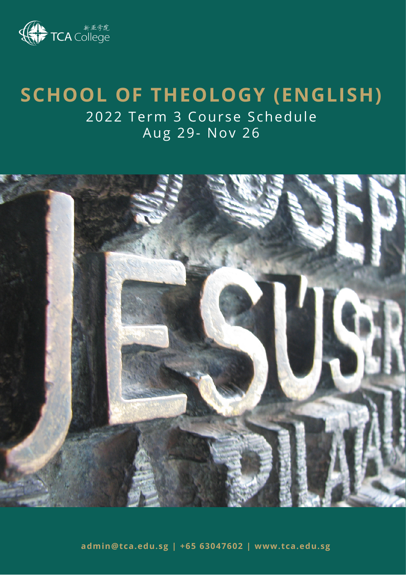

# **SCHOOL OF THEOLOGY (ENGLISH)**

2022 Term 3 Course Schedule Aug 29- Nov 26



**admin@tca.edu.sg | +65 63047602 | www.tca.edu.sg**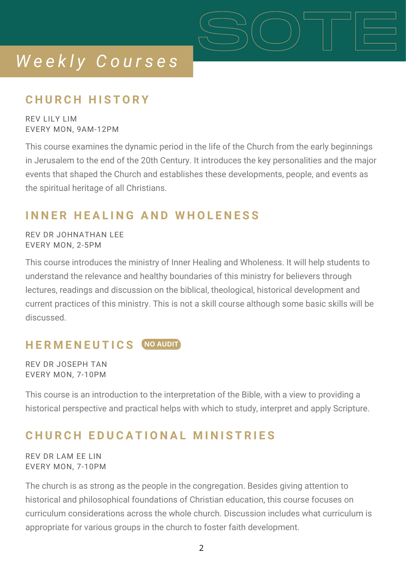## **C H U R C H H I S T O R Y**

REV LILY LIM EVERY MON, 9AM-12PM

This course examines the dynamic period in the life of the Church from the early beginnings in Jerusalem to the end of the 20th Century. It introduces the key personalities and the major events that shaped the Church and establishes these developments, people, and events as the spiritual heritage of all Christians.

SOTE

### **I N N E R H E A L I N G A N D W H O L E N E S S**

REV DR JOHNATHAN LEE EVERY MON, 2-5PM

This course introduces the ministry of Inner Healing and Wholeness. It will help students to understand the relevance and healthy boundaries of this ministry for believers through lectures, readings and discussion on the biblical, theological, historical development and current practices of this ministry. This is not a skill course although some basic skills will be discussed.

### **H E R M E N E U T I C S NO AUDIT**

REV DR JOSEPH TAN EVERY MON, 7-10PM

This course is an introduction to the interpretation of the Bible, with a view to providing a historical perspective and practical helps with which to study, interpret and apply Scripture.

## CHURCH EDUCATIONAL MINISTRIES

REV DR LAM EE LIN EVERY MON, 7-10PM

The church is as strong as the people in the congregation. Besides giving attention to historical and philosophical foundations of Christian education, this course focuses on curriculum considerations across the whole church. Discussion includes what curriculum is appropriate for various groups in the church to foster faith development.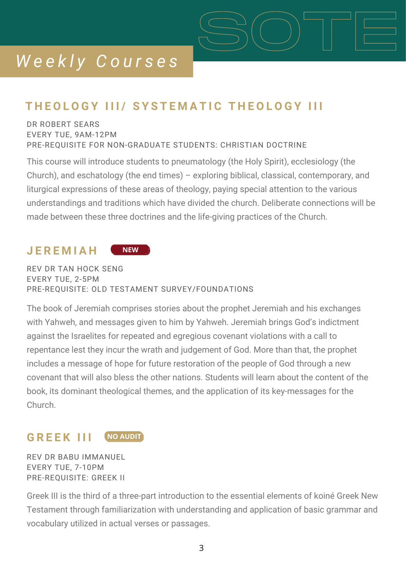## THEOLOGY III/ SYSTEMATIC THEOLOGY III

### DR ROBERT SEARS EVERY TUE, 9AM-12PM PRE-REQUISITE FOR NON-GRADUATE STUDENTS: CHRISTIAN DOCTRINE

This course will introduce students to pneumatology (the Holy Spirit), ecclesiology (the Church), and eschatology (the end times) – exploring biblical, classical, contemporary, and liturgical expressions of these areas of theology, paying special attention to the various understandings and traditions which have divided the church. Deliberate connections will be made between these three doctrines and the life-giving practices of the Church.

SOTE

#### **J E R E M I A H NEW**

REV DR TAN HOCK SENG EVERY TUE, 2-5PM PRE-REQUISITE: OLD TESTAMENT SURVEY/FOUNDATIONS

The book of Jeremiah comprises stories about the prophet Jeremiah and his exchanges with Yahweh, and messages given to him by Yahweh. Jeremiah brings God's indictment against the Israelites for repeated and egregious covenant violations with a call to repentance lest they incur the wrath and judgement of God. More than that, the prophet includes a message of hope for future restoration of the people of God through a new covenant that will also bless the other nations. Students will learn about the content of the book, its dominant theological themes, and the application of its key-messages for the Church.

#### **G R E E K I I I NO AUDIT**

REV DR BABU IMMANUEL EVERY TUE, 7-10PM PRE-REQUISITE: GREEK II

Greek III is the third of a three-part introduction to the essential elements of koiné Greek New Testament through familiarization with understanding and application of basic grammar and vocabulary utilized in actual verses or passages.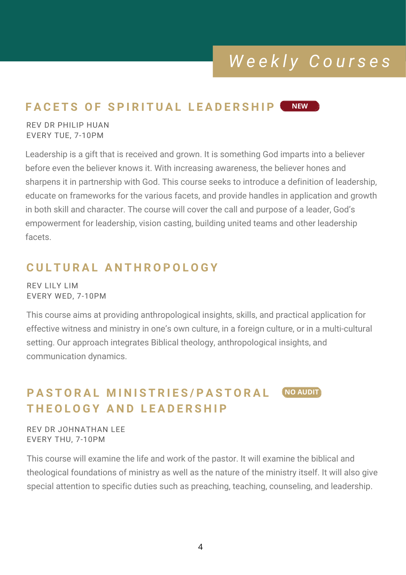#### **FACETS OF SPIRITUAL LEADERSHIP NEW**

REV DR PHILIP HUAN EVERY TUE, 7-10PM

Leadership is a gift that is received and grown. It is something God imparts into a believer before even the believer knows it. With increasing awareness, the believer hones and sharpens it in partnership with God. This course seeks to introduce a definition of leadership, educate on frameworks for the various facets, and provide handles in application and growth in both skill and character. The course will cover the call and purpose of a leader, God's empowerment for leadership, vision casting, building united teams and other leadership facets.

## **C U L T U R A L A N T H R O P O L O G Y**

REV LILY LIM EVERY WED, 7-10PM

This course aims at providing anthropological insights, skills, and practical application for effective witness and ministry in one's own culture, in a foreign culture, or in a multi-cultural setting. Our approach integrates Biblical theology, anthropological insights, and communication dynamics.

#### PASTORAL MINISTRIES/PASTORAL  $F = F \times F$  **A**  $F = F \times F$  **E**  $F = F \times F$  **E**  $F = F \times F$  **E**  $F = F \times F$  **E**  $F = F \times F$  **E**  $F = F \times F$  **E**  $F = F \times F$  **E**  $F = F \times F$  **E**  $F = F \times F$  **E**  $F = F \times F$  **E**  $F = F \times F$  **E**  $F = F \times F$  **E**  $F = F \times F$  **E**  $F = F \times F$  **E**  $F = F \times F$  **E**  $F = F \times F$  **E NO AUDIT**

REV DR JOHNATHAN LEE EVERY THU, 7-10PM

This course will examine the life and work of the pastor. It will examine the biblical and theological foundations of ministry as well as the nature of the ministry itself. It will also give special attention to specific duties such as preaching, teaching, counseling, and leadership.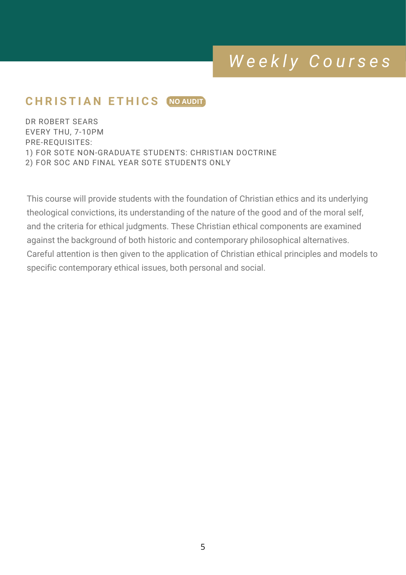## $C$  **H** RISTIAN ETHICS (NO AUDIT

DR ROBERT SEARS EVERY THU, 7-10PM PRE-REQUISITES: 1) FOR SOTE NON-GRADUATE STUDENTS: CHRISTIAN DOCTRINE 2) FOR SOC AND FINAL YEAR SOTE STUDENTS ONLY

This course will provide students with the foundation of Christian ethics and its underlying theological convictions, its understanding of the nature of the good and of the moral self, and the criteria for ethical judgments. These Christian ethical components are examined against the background of both historic and contemporary philosophical alternatives. Careful attention is then given to the application of Christian ethical principles and models to specific contemporary ethical issues, both personal and social.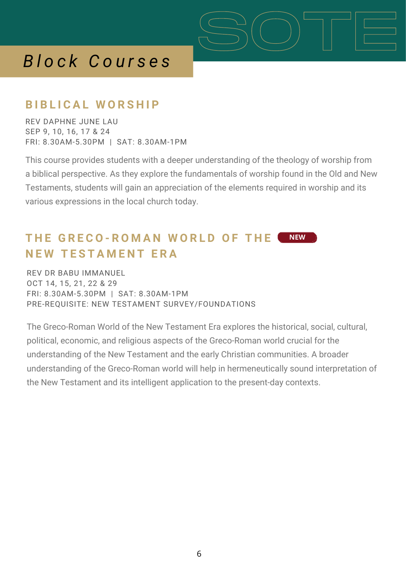## *B l o c k C o u r s e s*

### **B I B L I C A L W O R S H I P**

REV DAPHNE JUNE LAU SEP 9, 10, 16, 17 & 24 FRI: 8.30AM-5.30PM | SAT: 8.30AM-1PM

This course provides students with a deeper understanding of the theology of worship from a biblical perspective. As they explore the fundamentals of worship found in the Old and New Testaments, students will gain an appreciation of the elements required in worship and its various expressions in the local church today.

SOTE

#### **T H E G R E C O - R O M A N W O R L D O F T H E N E W T E S T A M E N T E R A NEW**

REV DR BABU IMMANUEL OCT 14, 15, 21, 22 & 29 FRI: 8.30AM-5.30PM | SAT: 8.30AM-1PM PRE-REQUISITE: NEW TESTAMENT SURVEY/FOUNDATIONS

The Greco-Roman World of the New Testament Era explores the historical, social, cultural, political, economic, and religious aspects of the Greco-Roman world crucial for the understanding of the New Testament and the early Christian communities. A broader understanding of the Greco-Roman world will help in hermeneutically sound interpretation of the New Testament and its intelligent application to the present-day contexts.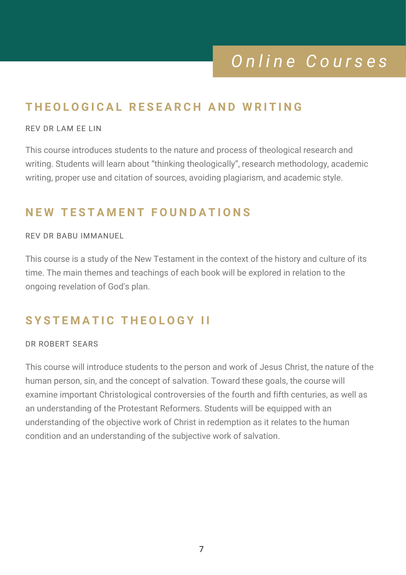## *O n l i n e C o u r s e s*

## THEOLOGICAL RESEARCH AND WRITING

#### REV DR LAM EE LIN

This course introduces students to the nature and process of theological research and writing. Students will learn about "thinking theologically", research methodology, academic writing, proper use and citation of sources, avoiding plagiarism, and academic style.

### **N E W T E S T A M E N T F O U N D A T I O N S**

#### REV DR BABU IMMANUEL

This course is a study of the New Testament in the context of the history and culture of its time. The main themes and teachings of each book will be explored in relation to the ongoing revelation of God's plan.

## $S$  **YSTEMATIC THEOLOGY II**

#### DR ROBERT SEARS

This course will introduce students to the person and work of Jesus Christ, the nature of the human person, sin, and the concept of salvation. Toward these goals, the course will examine important Christological controversies of the fourth and fifth centuries, as well as an understanding of the Protestant Reformers. Students will be equipped with an understanding of the objective work of Christ in redemption as it relates to the human condition and an understanding of the subjective work of salvation.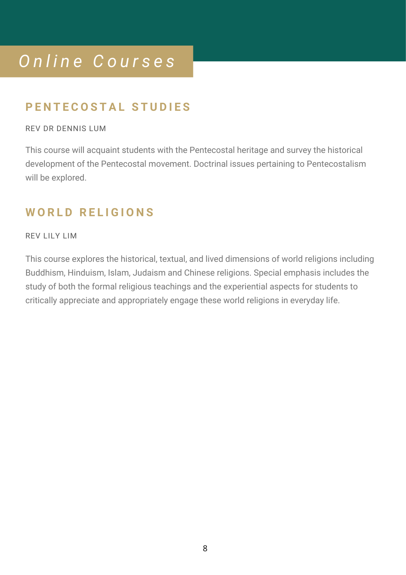# *O n l i n e C o u r s e s*

## **P E N T E C O S T A L S T U D I E S**

### REV DR DENNIS LUM

This course will acquaint students with the Pentecostal heritage and survey the historical development of the Pentecostal movement. Doctrinal issues pertaining to Pentecostalism will be explored.

## **W O R L D R E L I G I O N S**

### REV LILY LIM

This course explores the historical, textual, and lived dimensions of world religions including Buddhism, Hinduism, Islam, Judaism and Chinese religions. Special emphasis includes the study of both the formal religious teachings and the experiential aspects for students to critically appreciate and appropriately engage these world religions in everyday life.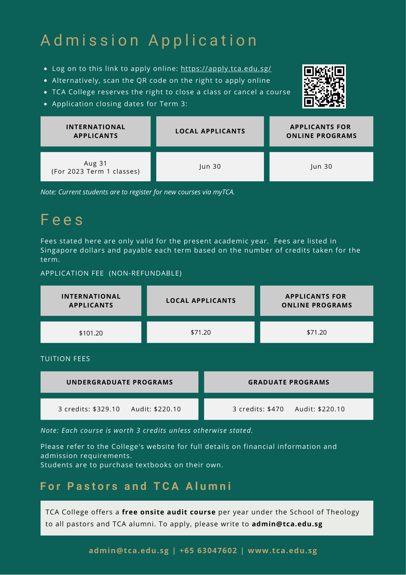# Admission Application

- Log on to this link to apply online: <https://apply.tca.edu.sg/>
- Alternatively, scan the QR code on the right to apply online
- TCA College reserves the right to close a class or cancel a course
- Application closing dates for Term 3:



| <b>INTERNATIONAL</b><br><b>APPLICANTS</b> | <b>LOCAL APPLICANTS</b> | <b>APPLICANTS FOR</b><br><b>ONLINE PROGRAMS</b> |
|-------------------------------------------|-------------------------|-------------------------------------------------|
| Aug 31<br>(For 2023 Term 1 classes)       | un 30                   | Jun 30                                          |

*Note: Current students are to register for new courses via myTCA.*

## F e e s

Fees stated here are only valid for the present academic year. Fees are listed in Singapore dollars and payable each term based on the number of credits taken for the term.

#### APPLICATION FEE (NON-REFUNDABLE)

| <b>INTERNATIONAL</b><br><b>APPLICANTS</b> | <b>LOCAL APPLICANTS</b> |                                     | <b>APPLICANTS FOR</b><br><b>ONLINE PROGRAMS</b> |
|-------------------------------------------|-------------------------|-------------------------------------|-------------------------------------------------|
| \$101.20                                  | \$71.20                 |                                     | \$71.20                                         |
| <b>TUITION FEES</b>                       |                         |                                     |                                                 |
| <b>UNDERGRADUATE PROGRAMS</b>             |                         | <b>GRADUATE PROGRAMS</b>            |                                                 |
| 3 credits: \$329.10<br>Audit: \$220.10    |                         | 3 credits: \$470<br>Audit: \$220.10 |                                                 |

*Note: Each course is worth 3 credits unless otherwise stated.*

Please refer to the College's website for full details on financial information and admission requirements.

Students are to purchase textbooks on their own.

### **F o r P a s t o r s a n d T C A A l u m n i**

TCA College offers a **free onsite audit course** per year under the School of Theology to all pastors and TCA alumni. To apply, please write to **admin@tca.edu.sg**